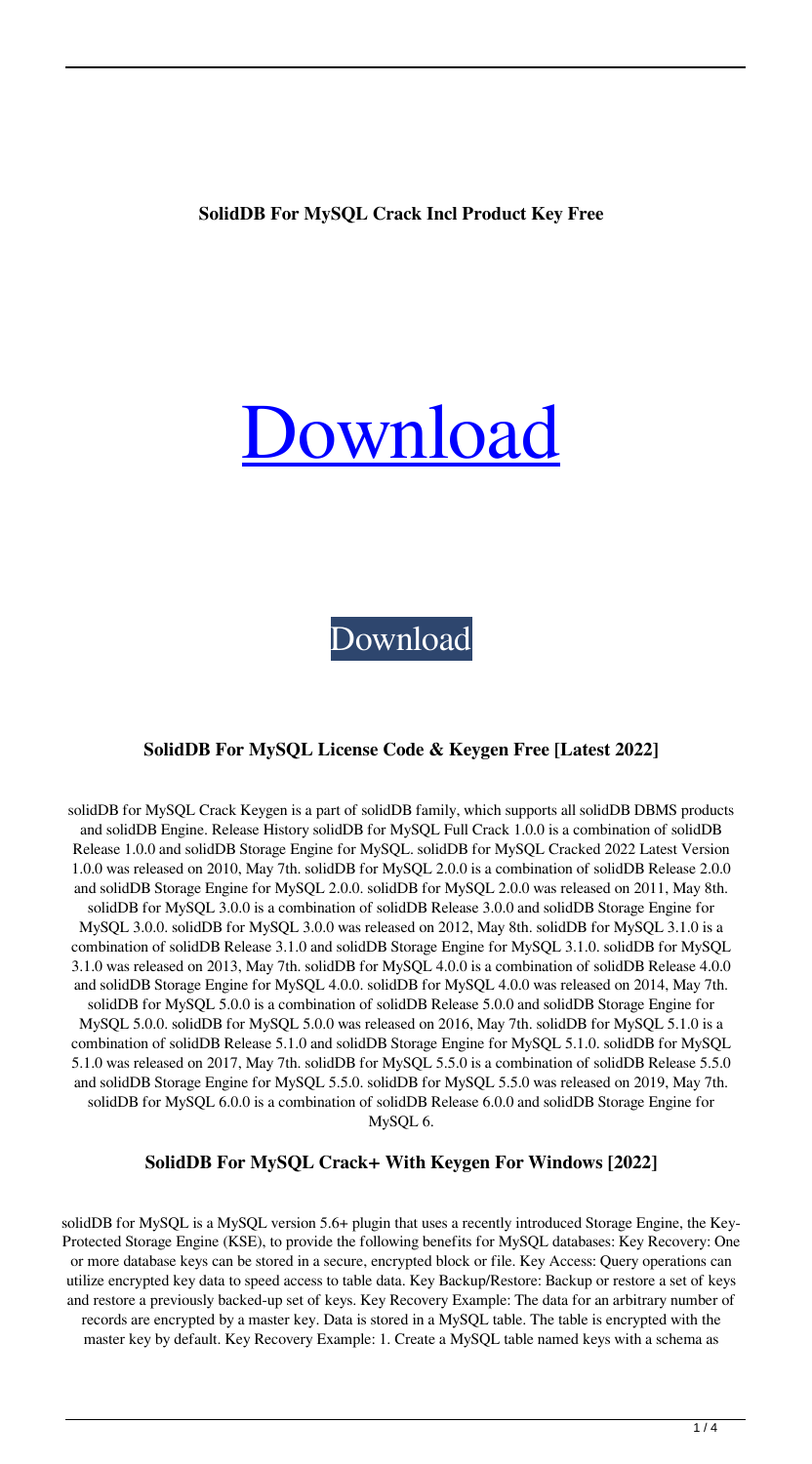## **SolidDB For MySQL Crack Incl Product Key Free**

# ownload

[Download](http://evacdir.com/fervently/c29saWREQiBmb3IgTXlTUUwc29.masea/rack/tumours.lavasoft.veer.dentakit?ZG93bmxvYWR8blQyYjNkd2ZId3hOalUwTkRNMk5qVTRmSHd5TlRrd2ZId29UU2tnVjI5eVpIQnlaWE56SUZ0WVRVeFNVRU1nVmpJZ1VFUkdYUQ)

#### **SolidDB For MySQL License Code & Keygen Free [Latest 2022]**

solidDB for MySQL Crack Keygen is a part of solidDB family, which supports all solidDB DBMS products and solidDB Engine. Release History solidDB for MySQL Full Crack 1.0.0 is a combination of solidDB Release 1.0.0 and solidDB Storage Engine for MySQL. solidDB for MySQL Cracked 2022 Latest Version 1.0.0 was released on 2010, May 7th. solidDB for MySQL 2.0.0 is a combination of solidDB Release 2.0.0 and solidDB Storage Engine for MySQL 2.0.0. solidDB for MySQL 2.0.0 was released on 2011, May 8th. solidDB for MySQL 3.0.0 is a combination of solidDB Release 3.0.0 and solidDB Storage Engine for MySQL 3.0.0. solidDB for MySQL 3.0.0 was released on 2012, May 8th. solidDB for MySQL 3.1.0 is a combination of solidDB Release 3.1.0 and solidDB Storage Engine for MySQL 3.1.0. solidDB for MySQL 3.1.0 was released on 2013, May 7th. solidDB for MySQL 4.0.0 is a combination of solidDB Release 4.0.0 and solidDB Storage Engine for MySQL 4.0.0. solidDB for MySQL 4.0.0 was released on 2014, May 7th. solidDB for MySQL 5.0.0 is a combination of solidDB Release 5.0.0 and solidDB Storage Engine for MySQL 5.0.0. solidDB for MySQL 5.0.0 was released on 2016, May 7th. solidDB for MySQL 5.1.0 is a combination of solidDB Release 5.1.0 and solidDB Storage Engine for MySQL 5.1.0. solidDB for MySQL 5.1.0 was released on 2017, May 7th. solidDB for MySQL 5.5.0 is a combination of solidDB Release 5.5.0 and solidDB Storage Engine for MySQL 5.5.0. solidDB for MySQL 5.5.0 was released on 2019, May 7th. solidDB for MySQL 6.0.0 is a combination of solidDB Release 6.0.0 and solidDB Storage Engine for MySQL 6.

#### **SolidDB For MySQL Crack+ With Keygen For Windows [2022]**

solidDB for MySQL is a MySQL version 5.6+ plugin that uses a recently introduced Storage Engine, the Key-Protected Storage Engine (KSE), to provide the following benefits for MySQL databases: Key Recovery: One or more database keys can be stored in a secure, encrypted block or file. Key Access: Query operations can utilize encrypted key data to speed access to table data. Key Backup/Restore: Backup or restore a set of keys and restore a previously backed-up set of keys. Key Recovery Example: The data for an arbitrary number of records are encrypted by a master key. Data is stored in a MySQL table. The table is encrypted with the master key by default. Key Recovery Example: 1. Create a MySQL table named keys with a schema as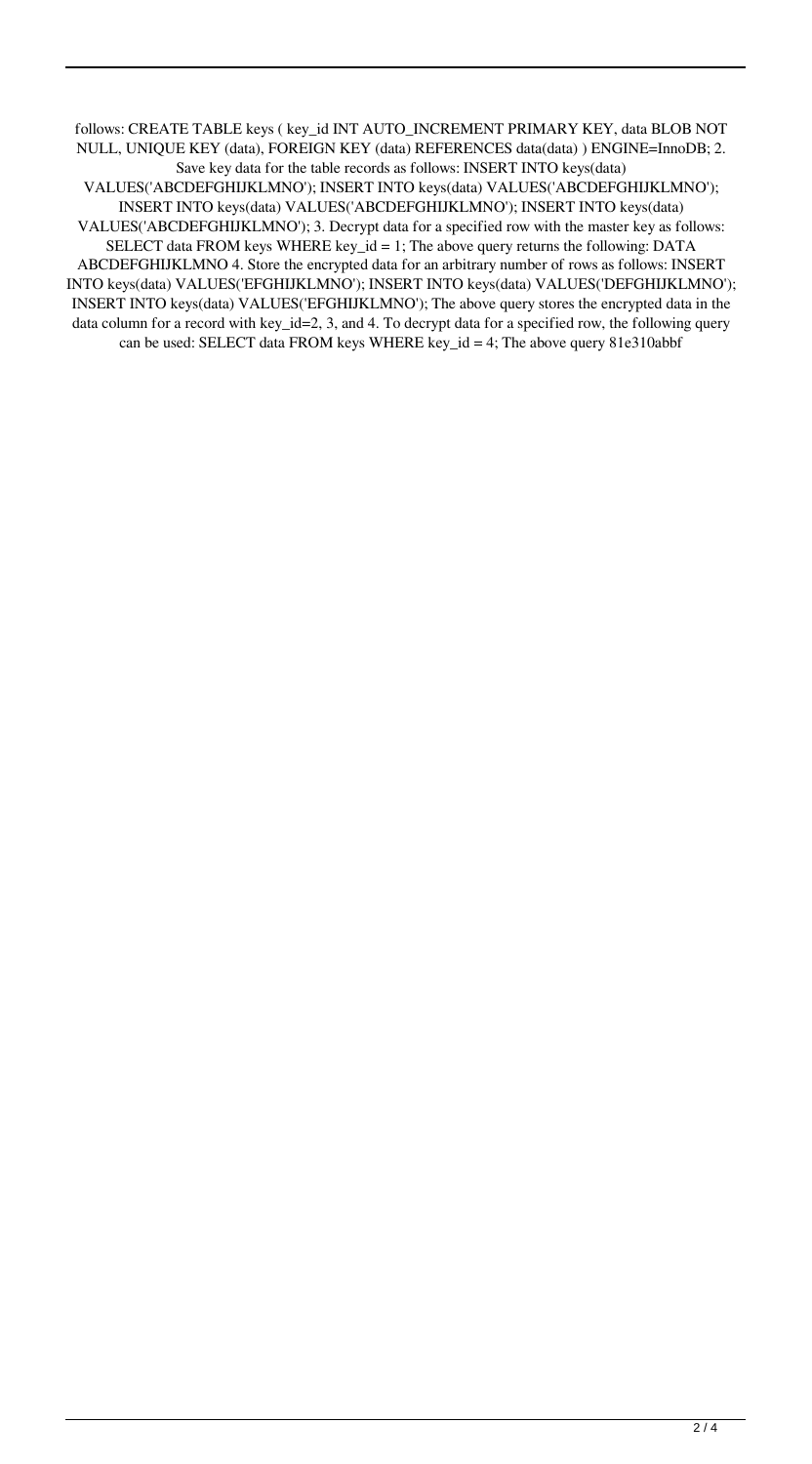follows: CREATE TABLE keys ( key\_id INT AUTO\_INCREMENT PRIMARY KEY, data BLOB NOT NULL, UNIQUE KEY (data), FOREIGN KEY (data) REFERENCES data(data) ) ENGINE=InnoDB; 2. Save key data for the table records as follows: INSERT INTO keys(data) VALUES('ABCDEFGHIJKLMNO'); INSERT INTO keys(data) VALUES('ABCDEFGHIJKLMNO'); INSERT INTO keys(data) VALUES('ABCDEFGHIJKLMNO'); INSERT INTO keys(data) VALUES('ABCDEFGHIJKLMNO'); 3. Decrypt data for a specified row with the master key as follows: SELECT data FROM keys WHERE key\_id = 1; The above query returns the following: DATA ABCDEFGHIJKLMNO 4. Store the encrypted data for an arbitrary number of rows as follows: INSERT INTO keys(data) VALUES('EFGHIJKLMNO'); INSERT INTO keys(data) VALUES('DEFGHIJKLMNO'); INSERT INTO keys(data) VALUES('EFGHIJKLMNO'); The above query stores the encrypted data in the data column for a record with key\_id=2, 3, and 4. To decrypt data for a specified row, the following query can be used: SELECT data FROM keys WHERE key\_id = 4; The above query 81e310abbf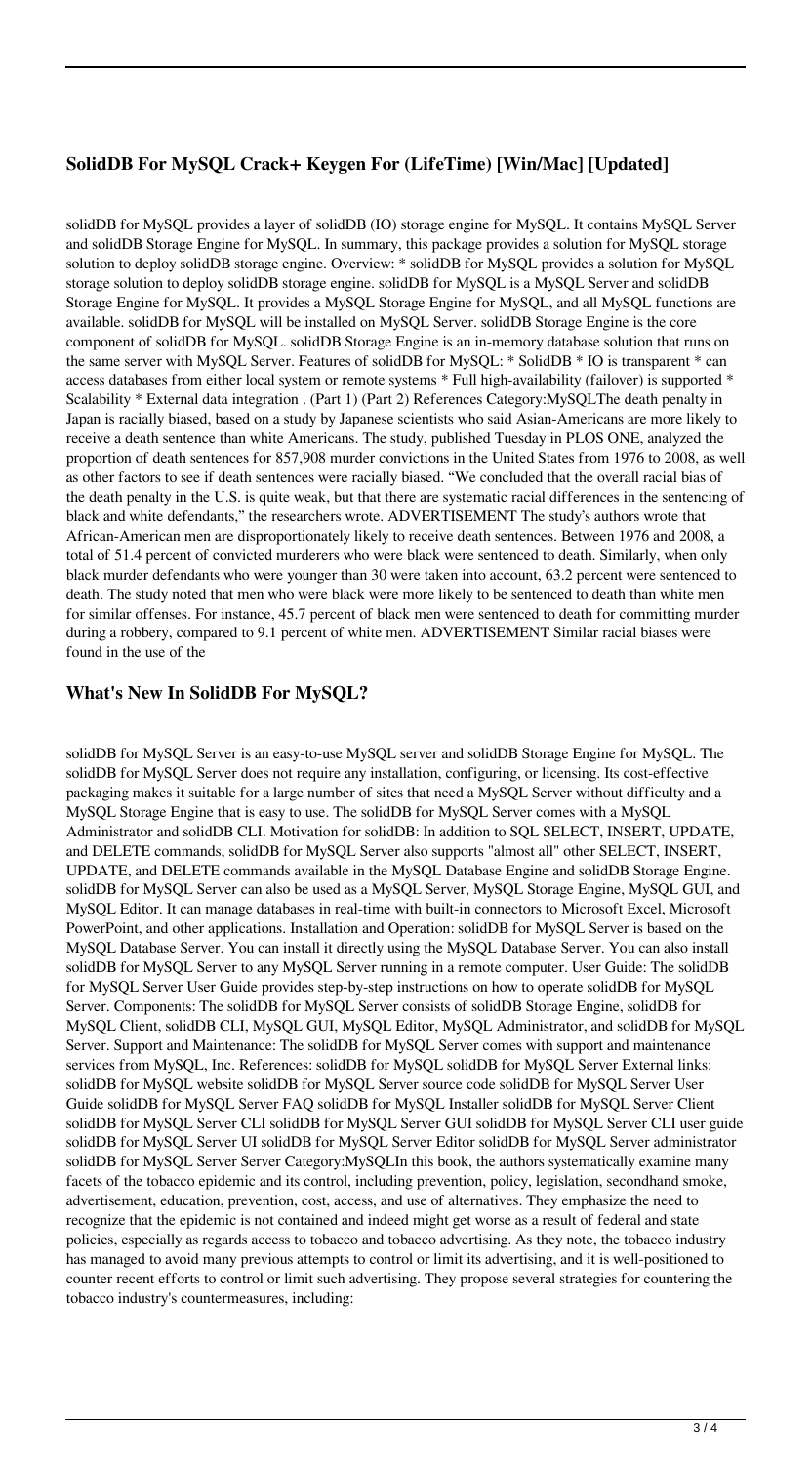# **SolidDB For MySQL Crack+ Keygen For (LifeTime) [Win/Mac] [Updated]**

solidDB for MySQL provides a layer of solidDB (IO) storage engine for MySQL. It contains MySQL Server and solidDB Storage Engine for MySQL. In summary, this package provides a solution for MySQL storage solution to deploy solidDB storage engine. Overview: \* solidDB for MySQL provides a solution for MySQL storage solution to deploy solidDB storage engine. solidDB for MySQL is a MySQL Server and solidDB Storage Engine for MySQL. It provides a MySQL Storage Engine for MySQL, and all MySQL functions are available. solidDB for MySQL will be installed on MySQL Server. solidDB Storage Engine is the core component of solidDB for MySQL. solidDB Storage Engine is an in-memory database solution that runs on the same server with MySQL Server. Features of solidDB for MySQL: \* SolidDB \* IO is transparent \* can access databases from either local system or remote systems \* Full high-availability (failover) is supported \* Scalability \* External data integration . (Part 1) (Part 2) References Category:MySQLThe death penalty in Japan is racially biased, based on a study by Japanese scientists who said Asian-Americans are more likely to receive a death sentence than white Americans. The study, published Tuesday in PLOS ONE, analyzed the proportion of death sentences for 857,908 murder convictions in the United States from 1976 to 2008, as well as other factors to see if death sentences were racially biased. "We concluded that the overall racial bias of the death penalty in the U.S. is quite weak, but that there are systematic racial differences in the sentencing of black and white defendants," the researchers wrote. ADVERTISEMENT The study's authors wrote that African-American men are disproportionately likely to receive death sentences. Between 1976 and 2008, a total of 51.4 percent of convicted murderers who were black were sentenced to death. Similarly, when only black murder defendants who were younger than 30 were taken into account, 63.2 percent were sentenced to death. The study noted that men who were black were more likely to be sentenced to death than white men for similar offenses. For instance, 45.7 percent of black men were sentenced to death for committing murder during a robbery, compared to 9.1 percent of white men. ADVERTISEMENT Similar racial biases were found in the use of the

## **What's New In SolidDB For MySQL?**

solidDB for MySQL Server is an easy-to-use MySQL server and solidDB Storage Engine for MySQL. The solidDB for MySQL Server does not require any installation, configuring, or licensing. Its cost-effective packaging makes it suitable for a large number of sites that need a MySQL Server without difficulty and a MySQL Storage Engine that is easy to use. The solidDB for MySQL Server comes with a MySQL Administrator and solidDB CLI. Motivation for solidDB: In addition to SQL SELECT, INSERT, UPDATE, and DELETE commands, solidDB for MySQL Server also supports "almost all" other SELECT, INSERT, UPDATE, and DELETE commands available in the MySQL Database Engine and solidDB Storage Engine. solidDB for MySQL Server can also be used as a MySQL Server, MySQL Storage Engine, MySQL GUI, and MySQL Editor. It can manage databases in real-time with built-in connectors to Microsoft Excel, Microsoft PowerPoint, and other applications. Installation and Operation: solidDB for MySQL Server is based on the MySQL Database Server. You can install it directly using the MySQL Database Server. You can also install solidDB for MySQL Server to any MySQL Server running in a remote computer. User Guide: The solidDB for MySQL Server User Guide provides step-by-step instructions on how to operate solidDB for MySQL Server. Components: The solidDB for MySQL Server consists of solidDB Storage Engine, solidDB for MySQL Client, solidDB CLI, MySQL GUI, MySQL Editor, MySQL Administrator, and solidDB for MySQL Server. Support and Maintenance: The solidDB for MySQL Server comes with support and maintenance services from MySQL, Inc. References: solidDB for MySQL solidDB for MySQL Server External links: solidDB for MySQL website solidDB for MySQL Server source code solidDB for MySQL Server User Guide solidDB for MySQL Server FAQ solidDB for MySQL Installer solidDB for MySQL Server Client solidDB for MySQL Server CLI solidDB for MySQL Server GUI solidDB for MySQL Server CLI user guide solidDB for MySQL Server UI solidDB for MySQL Server Editor solidDB for MySQL Server administrator solidDB for MySQL Server Server Category: MySQLIn this book, the authors systematically examine many facets of the tobacco epidemic and its control, including prevention, policy, legislation, secondhand smoke, advertisement, education, prevention, cost, access, and use of alternatives. They emphasize the need to recognize that the epidemic is not contained and indeed might get worse as a result of federal and state policies, especially as regards access to tobacco and tobacco advertising. As they note, the tobacco industry has managed to avoid many previous attempts to control or limit its advertising, and it is well-positioned to counter recent efforts to control or limit such advertising. They propose several strategies for countering the tobacco industry's countermeasures, including: